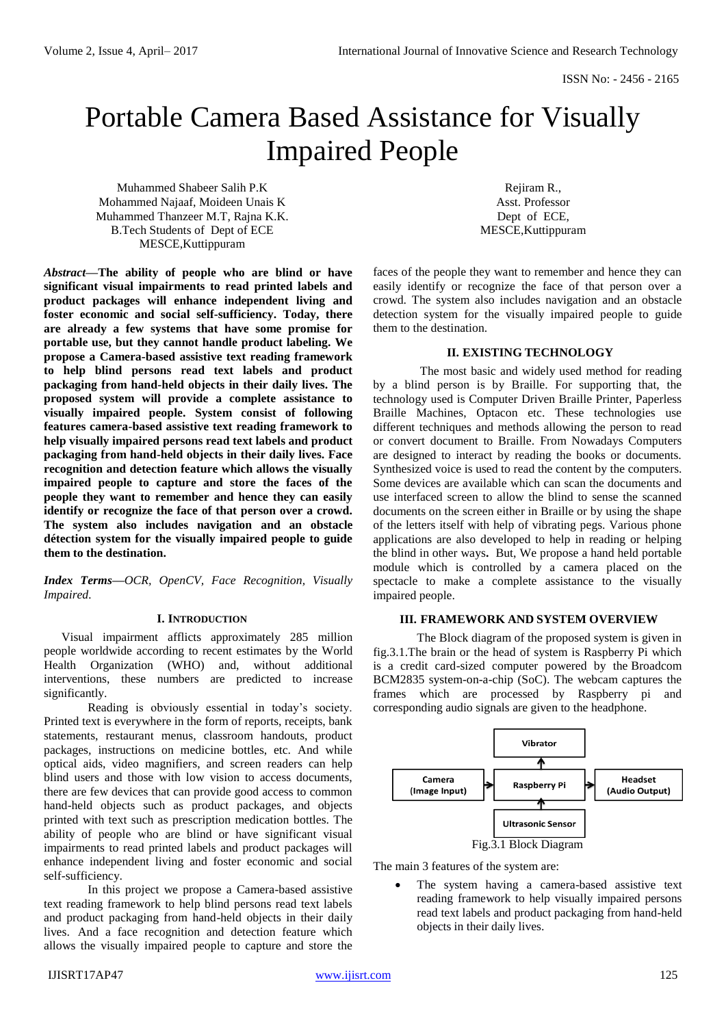# Portable Camera Based Assistance for Visually Impaired People

Muhammed Shabeer Salih P.K Mohammed Najaaf, Moideen Unais K Muhammed Thanzeer M.T, Rajna K.K. B.Tech Students of Dept of ECE MESCE,Kuttippuram

*Abstract***—The ability of people who are blind or have significant visual impairments to read printed labels and product packages will enhance independent living and foster economic and social self-sufficiency. Today, there are already a few systems that have some promise for portable use, but they cannot handle product labeling. We propose a Camera-based assistive text reading framework to help blind persons read text labels and product packaging from hand-held objects in their daily lives. The proposed system will provide a complete assistance to visually impaired people. System consist of following features camera-based assistive text reading framework to help visually impaired persons read text labels and product packaging from hand-held objects in their daily lives. Face recognition and detection feature which allows the visually impaired people to capture and store the faces of the people they want to remember and hence they can easily identify or recognize the face of that person over a crowd. The system also includes navigation and an obstacle détection system for the visually impaired people to guide them to the destination.**

*Index Terms***—***OCR, OpenCV, Face Recognition, Visually Impaired.*

#### **I. INTRODUCTION**

Visual impairment afflicts approximately 285 million people worldwide according to recent estimates by the World Health Organization (WHO) and, without additional interventions, these numbers are predicted to increase significantly.

Reading is obviously essential in today's society. Printed text is everywhere in the form of reports, receipts, bank statements, restaurant menus, classroom handouts, product packages*,* instructions on medicine bottles, etc. And while optical aids, video magnifiers, and screen readers can help blind users and those with low vision to access documents, there are few devices that can provide good access to common hand-held objects such as product packages, and objects printed with text such as prescription medication bottles. The ability of people who are blind or have significant visual impairments to read printed labels and product packages will enhance independent living and foster economic and social self-sufficiency.

In this project we propose a Camera-based assistive text reading framework to help blind persons read text labels and product packaging from hand-held objects in their daily lives. And a face recognition and detection feature which allows the visually impaired people to capture and store the

Rejiram R., Asst. Professor Dept of ECE, MESCE,Kuttippuram

faces of the people they want to remember and hence they can easily identify or recognize the face of that person over a crowd. The system also includes navigation and an obstacle detection system for the visually impaired people to guide them to the destination.

#### **II. EXISTING TECHNOLOGY**

The most basic and widely used method for reading by a blind person is by Braille. For supporting that, the technology used is Computer Driven Braille Printer, Paperless Braille Machines, Optacon etc. These technologies use different techniques and methods allowing the person to read or convert document to Braille. From Nowadays Computers are designed to interact by reading the books or documents. Synthesized voice is used to read the content by the computers. Some devices are available which can scan the documents and use interfaced screen to allow the blind to sense the scanned documents on the screen either in Braille or by using the shape of the letters itself with help of vibrating pegs. Various phone applications are also developed to help in reading or helping the blind in other ways**.** But, We propose a hand held portable module which is controlled by a camera placed on the spectacle to make a complete assistance to the visually impaired people.

#### **III. FRAMEWORK AND SYSTEM OVERVIEW**

The Block diagram of the proposed system is given in fig.3.1.The brain or the head of system is Raspberry Pi which is a credit card-sized computer powered by the Broadcom BCM2835 system-on-a-chip (SoC). The webcam captures the frames which are processed by Raspberry pi and corresponding audio signals are given to the headphone.



The main 3 features of the system are:

 The system having a camera-based assistive text reading framework to help visually impaired persons read text labels and product packaging from hand-held objects in their daily lives.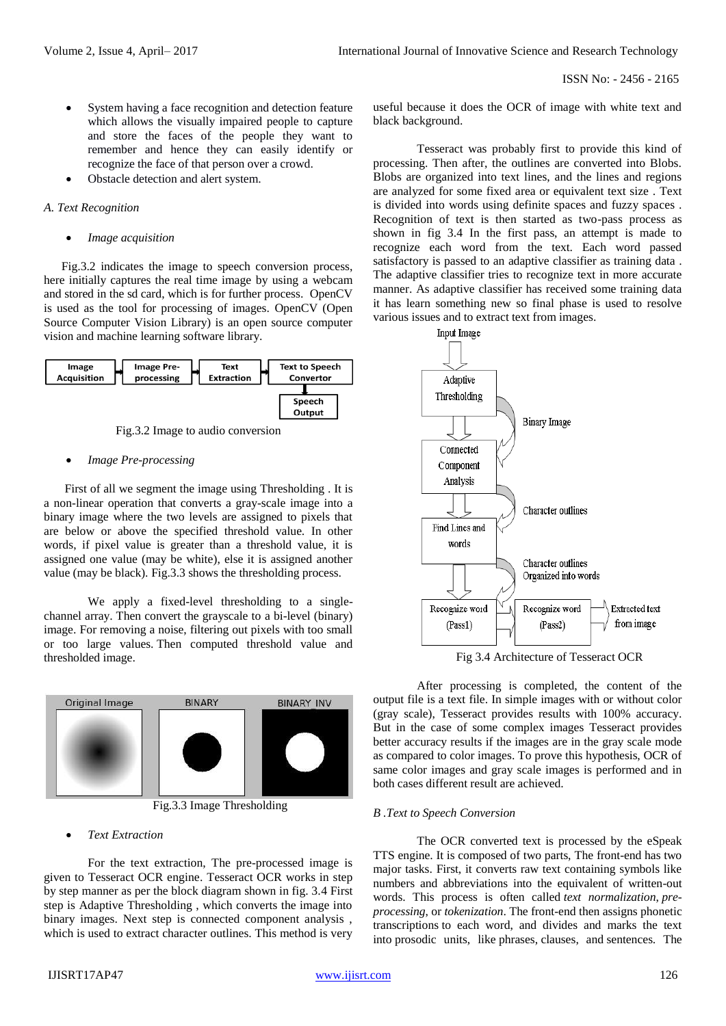- System having a face recognition and detection feature which allows the visually impaired people to capture and store the faces of the people they want to remember and hence they can easily identify or recognize the face of that person over a crowd.
- Obstacle detection and alert system.

# *A. Text Recognition*

*Image acquisition*

Fig.3.2 indicates the image to speech conversion process, here initially captures the real time image by using a webcam and stored in the sd card, which is for further process. OpenCV is used as the tool for processing of images. OpenCV (Open Source Computer Vision Library) is an open source computer vision and machine learning software library.



Fig.3.2 Image to audio conversion

# *Image Pre-processing*

 First of all we segment the image using Thresholding . It is a non-linear operation that converts a gray-scale image into a binary image where the two levels are assigned to pixels that are below or above the specified threshold value. In other words, if pixel value is greater than a threshold value, it is assigned one value (may be white), else it is assigned another value (may be black). Fig.3.3 shows the thresholding process.

We apply a fixed-level thresholding to a singlechannel array. Then convert the grayscale to a bi-level (binary) image. For removing a noise, filtering out pixels with too small or too large values. Then computed threshold value and thresholded image.



Fig.3.3 Image Thresholding

# *Text Extraction*

For the text extraction, The pre-processed image is given to Tesseract OCR engine. Tesseract OCR works in step by step manner as per the block diagram shown in fig. 3.4 First step is Adaptive Thresholding , which converts the image into binary images. Next step is connected component analysis , which is used to extract character outlines. This method is very

useful because it does the OCR of image with white text and black background.

Tesseract was probably first to provide this kind of processing. Then after, the outlines are converted into Blobs. Blobs are organized into text lines, and the lines and regions are analyzed for some fixed area or equivalent text size . Text is divided into words using definite spaces and fuzzy spaces . Recognition of text is then started as two-pass process as shown in fig 3.4 In the first pass, an attempt is made to recognize each word from the text. Each word passed satisfactory is passed to an adaptive classifier as training data . The adaptive classifier tries to recognize text in more accurate manner. As adaptive classifier has received some training data it has learn something new so final phase is used to resolve various issues and to extract text from images.



Fig 3.4 Architecture of Tesseract OCR

After processing is completed, the content of the output file is a text file. In simple images with or without color (gray scale), Tesseract provides results with 100% accuracy. But in the case of some complex images Tesseract provides better accuracy results if the images are in the gray scale mode as compared to color images. To prove this hypothesis, OCR of same color images and gray scale images is performed and in both cases different result are achieved.

# *B .Text to Speech Conversion*

The OCR converted text is processed by the eSpeak TTS engine. It is composed of two parts, The front-end has two major tasks. First, it converts raw text containing symbols like numbers and abbreviations into the equivalent of written-out words. This process is often called *text normalization*, *preprocessing*, or *tokenization*. The front-end then assigns phonetic transcriptions to each word, and divides and marks the text into prosodic units, like phrases, clauses, and sentences. The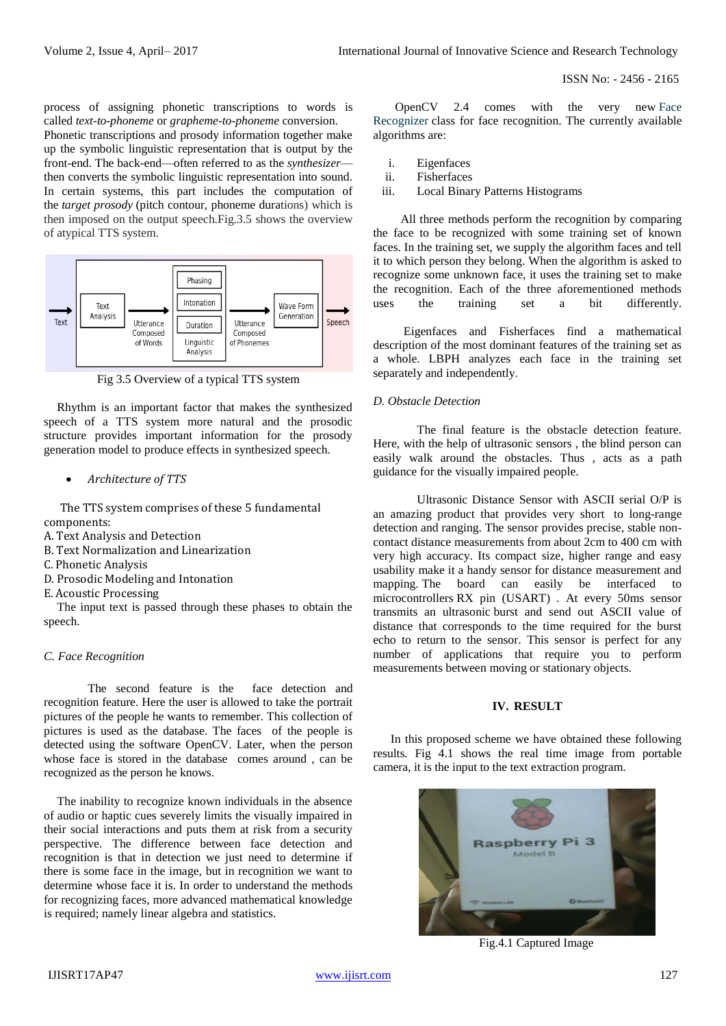process of assigning phonetic transcriptions to words is called *text-to-phoneme* or *grapheme-to-phoneme* conversion. Phonetic transcriptions and prosody information together make up the symbolic linguistic representation that is output by the front-end. The back-end—often referred to as the *synthesizer* then converts the symbolic linguistic representation into sound. In certain systems, this part includes the computation of the *target prosody* (pitch contour, phoneme durations) which is then imposed on the output speech.Fig.3.5 shows the overview of atypical TTS system.



Fig 3.5 Overview of a typical TTS system

Rhythm is an important factor that makes the synthesized speech of a TTS system more natural and the prosodic structure provides important information for the prosody generation model to produce effects in synthesized speech.

*Architecture of TTS*

The TTS system comprises of these 5 fundamental components:

- A. Text Analysis and Detection
- B. Text Normalization and Linearization
- C. Phonetic Analysis
- D. Prosodic Modeling and Intonation
- E. Acoustic Processing

The input text is passed through these phases to obtain the speech.

#### *C. Face Recognition*

The second feature is the face detection and recognition feature. Here the user is allowed to take the portrait pictures of the people he wants to remember. This collection of pictures is used as the database. The faces of the people is detected using the software OpenCV. Later, when the person whose face is stored in the database comes around , can be recognized as the person he knows.

The inability to recognize known individuals in the absence of audio or haptic cues severely limits the visually impaired in their social interactions and puts them at risk from a security perspective. The difference between face detection and recognition is that in detection we just need to determine if there is some face in the image, but in recognition we want to determine whose face it is. In order to understand the methods for recognizing faces, more advanced mathematical knowledge is required; namely linear algebra and statistics.

OpenCV 2.4 comes with the very new [Face](http://docs.opencv.org/2.4/modules/contrib/doc/facerec/facerec_api.html#FaceRecognizer : public Algorithm)  [Recognizer](http://docs.opencv.org/2.4/modules/contrib/doc/facerec/facerec_api.html#FaceRecognizer : public Algorithm) class for face recognition. The currently available algorithms are:

- i. Eigenfaces
- ii. Fisherfaces
- iii. Local Binary Patterns Histograms

All three methods perform the recognition by comparing the face to be recognized with some training set of known faces. In the training set, we supply the algorithm faces and tell it to which person they belong. When the algorithm is asked to recognize some unknown face, it uses the training set to make the recognition. Each of the three aforementioned methods uses the training set a bit differently.

Eigenfaces and Fisherfaces find a mathematical description of the most dominant features of the training set as a whole. LBPH analyzes each face in the training set separately and independently.

#### *D. Obstacle Detection*

The final feature is the obstacle detection feature. Here, with the help of ultrasonic sensors , the blind person can easily walk around the obstacles. Thus , acts as a path guidance for the visually impaired people.

Ultrasonic Distance Sensor with ASCII serial O/P is an amazing product that provides very short to long-range detection and ranging. The sensor provides precise, stable noncontact distance measurements from about 2cm to 400 cm with very high accuracy. Its compact size, higher range and easy usability make it a handy sensor for distance measurement and mapping. The board can easily be interfaced to microcontrollers RX pin (USART) . At every 50ms sensor transmits an ultrasonic burst and send out ASCII value of distance that corresponds to the time required for the burst echo to return to the sensor. This sensor is perfect for any number of applications that require you to perform measurements between moving or stationary objects.

# **IV. RESULT**

In this proposed scheme we have obtained these following results. Fig 4.1 shows the real time image from portable camera, it is the input to the text extraction program.



Fig.4.1 Captured Image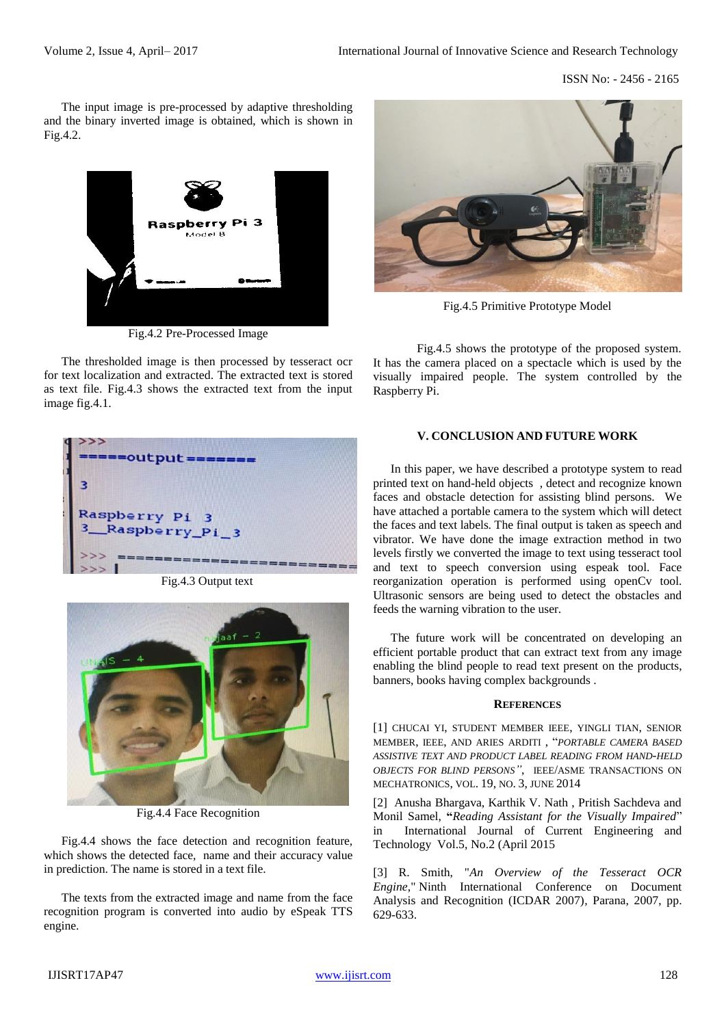The input image is pre-processed by adaptive thresholding and the binary inverted image is obtained, which is shown in Fig.4.2.



Fig.4.2 Pre-Processed Image

The thresholded image is then processed by tesseract ocr for text localization and extracted. The extracted text is stored as text file. Fig.4.3 shows the extracted text from the input image fig.4.1.



Fig.4.3 Output text



Fig.4.4 Face Recognition

Fig.4.4 shows the face detection and recognition feature, which shows the detected face, name and their accuracy value in prediction. The name is stored in a text file.

The texts from the extracted image and name from the face recognition program is converted into audio by eSpeak TTS engine.



Fig.4.5 Primitive Prototype Model

Fig.4.5 shows the prototype of the proposed system. It has the camera placed on a spectacle which is used by the visually impaired people. The system controlled by the Raspberry Pi.

# **V. CONCLUSION AND FUTURE WORK**

In this paper, we have described a prototype system to read printed text on hand-held objects , detect and recognize known faces and obstacle detection for assisting blind persons. We have attached a portable camera to the system which will detect the faces and text labels. The final output is taken as speech and vibrator. We have done the image extraction method in two levels firstly we converted the image to text using tesseract tool and text to speech conversion using espeak tool. Face reorganization operation is performed using openCv tool. Ultrasonic sensors are being used to detect the obstacles and feeds the warning vibration to the user.

The future work will be concentrated on developing an efficient portable product that can extract text from any image enabling the blind people to read text present on the products, banners, books having complex backgrounds .

#### **REFERENCES**

[1] CHUCAI YI, STUDENT MEMBER IEEE, YINGLI TIAN, SENIOR MEMBER, IEEE, AND ARIES ARDITI , "*PORTABLE CAMERA BASED ASSISTIVE TEXT AND PRODUCT LABEL READING FROM HAND-HELD OBJECTS FOR BLIND PERSONS"*, IEEE/ASME TRANSACTIONS ON MECHATRONICS, VOL. 19, NO. 3, JUNE 2014

[2] Anusha Bhargava, Karthik V. Nath , Pritish Sachdeva and Monil Samel, **"***Reading Assistant for the Visually Impaired*" in International Journal of Current Engineering and Technology Vol.5, No.2 (April 2015

[3] R. Smith, "*An Overview of the Tesseract OCR Engine*," Ninth International Conference on Document Analysis and Recognition (ICDAR 2007)*,* Parana, 2007, pp. 629-633.